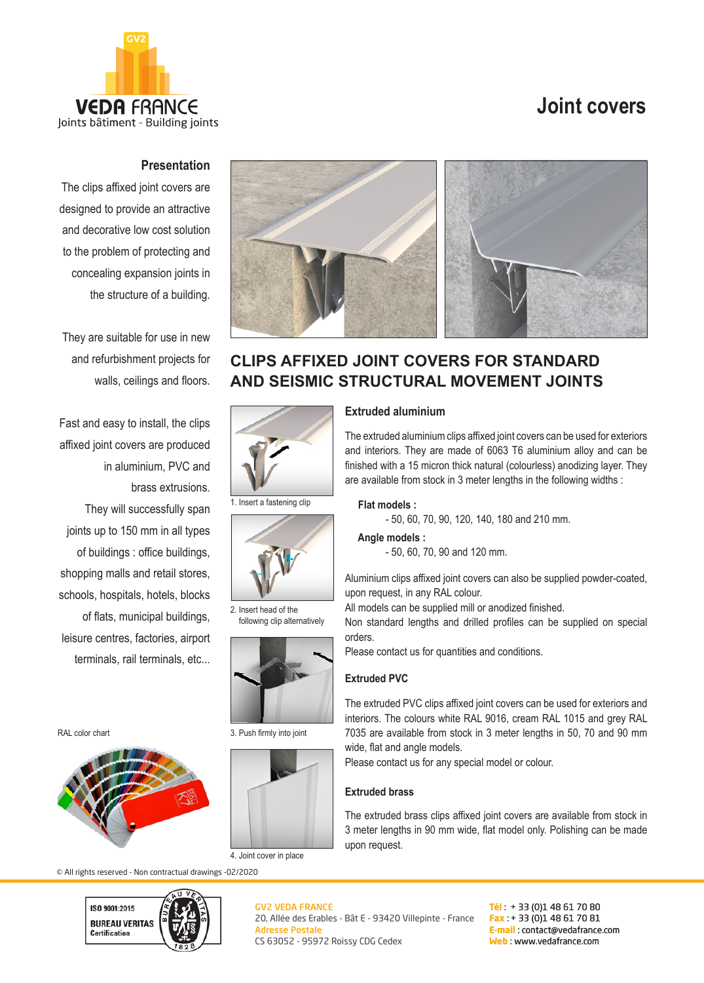# **Joint covers**



## **Presentation**

The clips affixed joint covers are designed to provide an attractive and decorative low cost solution to the problem of protecting and concealing expansion joints in the structure of a building.

They are suitable for use in new and refurbishment projects for walls, ceilings and floors.

Fast and easy to install, the clips affixed joint covers are produced in aluminium, PVC and brass extrusions. They will successfully span joints up to 150 mm in all types of buildings : office buildings, shopping malls and retail stores, schools, hospitals, hotels, blocks of flats, municipal buildings, leisure centres, factories, airport terminals, rail terminals, etc...

RAL color chart



© All rights reserved - Non contractual drawings -02/2020





## **CLIPS AFFIXED JOINT COVERS FOR STANDARD AND SEISMIC STRUCTURAL MOVEMENT JOINTS**



1. Insert a fastening clip



2. Insert head of the following clip alternatively



3. Push firmly into joint



4. Joint cover in place

#### GV2 VEDA FRANCE 20, Allée des Erables - Bât E - 93420 Villepinte - France Adresse Postale CS 63052 - 95972 Roissy CDG Cedex

**Tél** : + 33 (0)1 48 61 70 80 **Fax** : + 33 (0)1 48 61 70 81 **E-mail** : contact@vedafrance.com **Web** : www.vedafrance.com

and interiors. They are made of 6063 T6 aluminium alloy and can be finished with a 15 micron thick natural (colourless) anodizing layer. They

**Extruded aluminium**

#### **Flat models :**

- 50, 60, 70, 90, 120, 140, 180 and 210 mm.

are available from stock in 3 meter lengths in the following widths :

#### **Angle models :**

- 50, 60, 70, 90 and 120 mm.

Aluminium clips affixed joint covers can also be supplied powder-coated, upon request, in any RAL colour.

The extruded aluminium clips affixed joint covers can be used for exteriors

All models can be supplied mill or anodized finished.

Non standard lengths and drilled profiles can be supplied on special orders.

Please contact us for quantities and conditions.

### **Extruded PVC**

The extruded PVC clips affixed joint covers can be used for exteriors and interiors. The colours white RAL 9016, cream RAL 1015 and grey RAL 7035 are available from stock in 3 meter lengths in 50, 70 and 90 mm wide, flat and angle models.

Please contact us for any special model or colour.

### **Extruded brass**

The extruded brass clips affixed joint covers are available from stock in 3 meter lengths in 90 mm wide, flat model only. Polishing can be made upon request.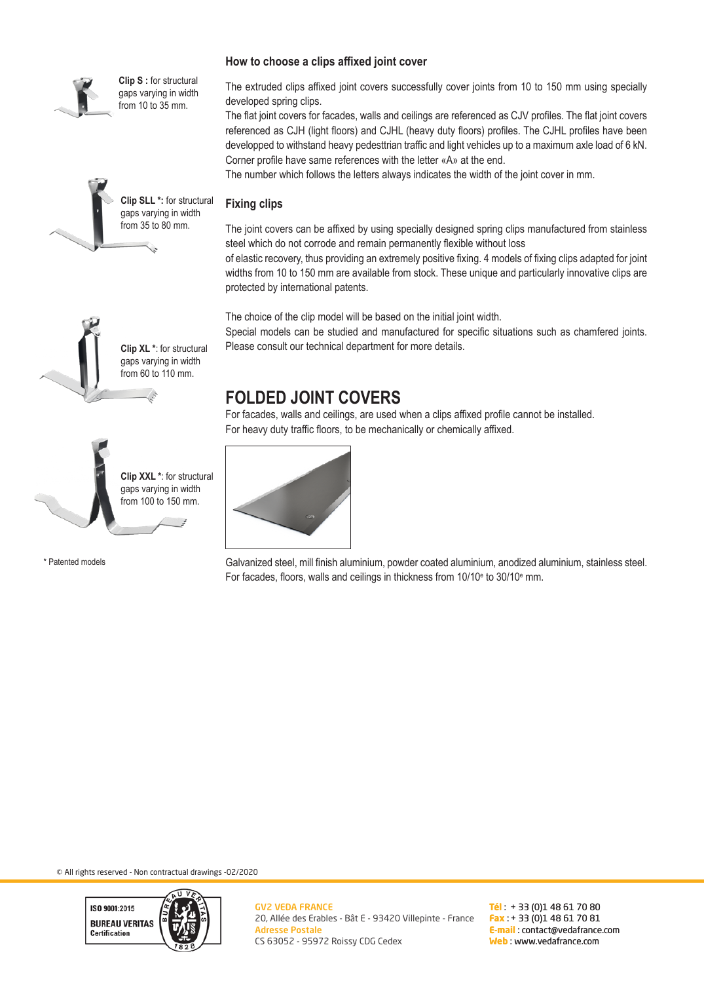

**Clip S :** for structural gaps varying in width from 10 to 35 mm.



#### **How to choose a clips affixed joint cover**

The extruded clips affixed joint covers successfully cover joints from 10 to 150 mm using specially developed spring clips.

The flat joint covers for facades, walls and ceilings are referenced as CJV profiles. The flat joint covers referenced as CJH (light floors) and CJHL (heavy duty floors) profiles. The CJHL profiles have been developped to withstand heavy pedesttrian traffic and light vehicles up to a maximum axle load of 6 kN. Corner profile have same references with the letter «A» at the end.

The number which follows the letters always indicates the width of the joint cover in mm.

### **Fixing clips**

The joint covers can be affixed by using specially designed spring clips manufactured from stainless steel which do not corrode and remain permanently flexible without loss

of elastic recovery, thus providing an extremely positive fixing. 4 models of fixing clips adapted for joint widths from 10 to 150 mm are available from stock. These unique and particularly innovative clips are protected by international patents.

The choice of the clip model will be based on the initial joint width.

Special models can be studied and manufactured for specific situations such as chamfered joints. Please consult our technical department for more details.





\* Patented models

# **FOLDED JOINT COVERS**

For facades, walls and ceilings, are used when a clips affixed profile cannot be installed. For heavy duty traffic floors, to be mechanically or chemically affixed.



Galvanized steel, mill finish aluminium, powder coated aluminium, anodized aluminium, stainless steel. For facades, floors, walls and ceilings in thickness from 10/10 $^{\circ}$  to 30/10 $^{\circ}$  mm.

© All rights reserved - Non contractual drawings -02/2020



**Tél** : + 33 (0)1 48 61 70 80 **Fax** : + 33 (0)1 48 61 70 81 **E-mail** : contact@vedafrance.com **Web** : www.vedafrance.com